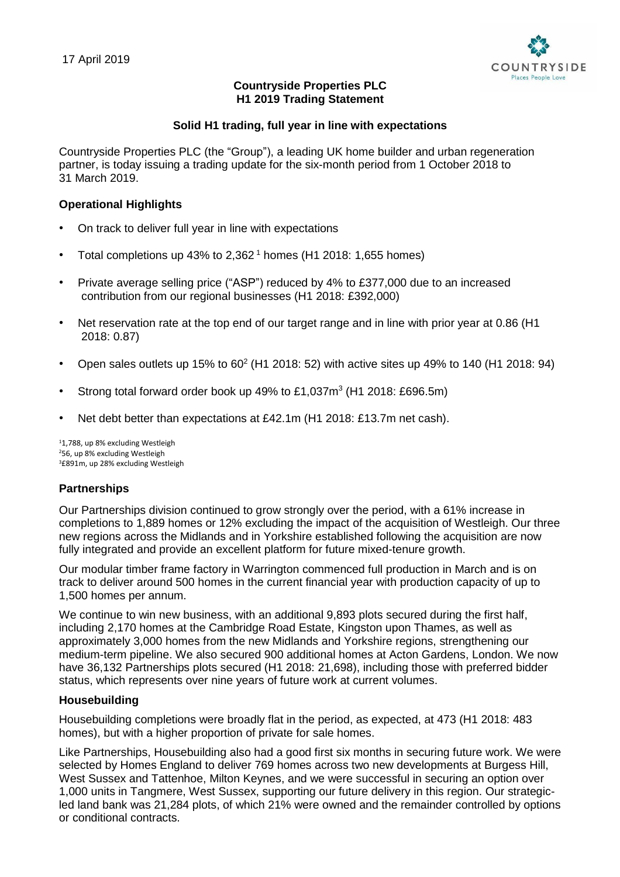

# **Countryside Properties PLC H1 2019 Trading Statement**

# **Solid H1 trading, full year in line with expectations**

Countryside Properties PLC (the "Group"), a leading UK home builder and urban regeneration partner, is today issuing a trading update for the six-month period from 1 October 2018 to 31 March 2019.

## **Operational Highlights**

- On track to deliver full year in line with expectations
- Total completions up 43% to  $2,362<sup>1</sup>$  homes (H1 2018: 1,655 homes)
- Private average selling price ("ASP") reduced by 4% to £377,000 due to an increased contribution from our regional businesses (H1 2018: £392,000)
- Net reservation rate at the top end of our target range and in line with prior year at 0.86 (H1 2018: 0.87)
- Open sales outlets up 15% to 60<sup>2</sup> (H1 2018: 52) with active sites up 49% to 140 (H1 2018: 94)
- Strong total forward order book up 49% to  $£1,037m^3$  (H1 2018: £696.5m)
- Net debt better than expectations at £42.1m (H1 2018: £13.7m net cash).

<sup>1</sup>1,788, up 8% excluding Westleigh <sup>2</sup>56, up 8% excluding Westleigh <sup>3</sup>£891m, up 28% excluding Westleigh

## **Partnerships**

Our Partnerships division continued to grow strongly over the period, with a 61% increase in completions to 1,889 homes or 12% excluding the impact of the acquisition of Westleigh. Our three new regions across the Midlands and in Yorkshire established following the acquisition are now fully integrated and provide an excellent platform for future mixed-tenure growth.

Our modular timber frame factory in Warrington commenced full production in March and is on track to deliver around 500 homes in the current financial year with production capacity of up to 1,500 homes per annum.

We continue to win new business, with an additional 9,893 plots secured during the first half, including 2,170 homes at the Cambridge Road Estate, Kingston upon Thames, as well as approximately 3,000 homes from the new Midlands and Yorkshire regions, strengthening our medium-term pipeline. We also secured 900 additional homes at Acton Gardens, London. We now have 36,132 Partnerships plots secured (H1 2018: 21,698), including those with preferred bidder status, which represents over nine years of future work at current volumes.

## **Housebuilding**

Housebuilding completions were broadly flat in the period, as expected, at 473 (H1 2018: 483 homes), but with a higher proportion of private for sale homes.

Like Partnerships, Housebuilding also had a good first six months in securing future work. We were selected by Homes England to deliver 769 homes across two new developments at Burgess Hill, West Sussex and Tattenhoe, Milton Keynes, and we were successful in securing an option over 1,000 units in Tangmere, West Sussex, supporting our future delivery in this region. Our strategicled land bank was 21,284 plots, of which 21% were owned and the remainder controlled by options or conditional contracts.